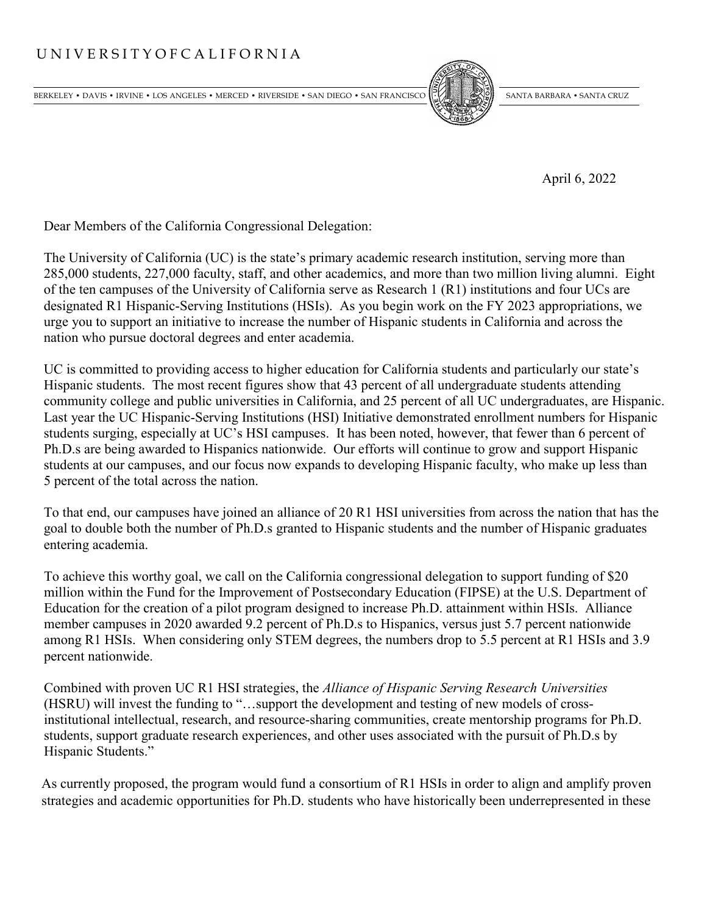## U N I V E R S I T Y O F C A L I F O R N I A

BERKELEY • DAVIS • IRVINE • LOS ANGELES • MERCED • RIVERSIDE • SAN DIEGO • SAN FRANCISCO SANTA BARBARA • SANTA BARBARA • SANTA CRUZ



April 6, 2022

Dear Members of the California Congressional Delegation:

The University of California (UC) is the state's primary academic research institution, serving more than 285,000 students, 227,000 faculty, staff, and other academics, and more than two million living alumni. Eight of the ten campuses of the University of California serve as Research 1 (R1) institutions and four UCs are designated R1 Hispanic-Serving Institutions (HSIs). As you begin work on the FY 2023 appropriations, we urge you to support an initiative to increase the number of Hispanic students in California and across the nation who pursue doctoral degrees and enter academia.

UC is committed to providing access to higher education for California students and particularly our state's Hispanic students. The most recent figures show that 43 percent of all undergraduate students attending community college and public universities in California, and 25 percent of all UC undergraduates, are Hispanic. Last year the UC Hispanic-Serving Institutions (HSI) Initiative demonstrated enrollment numbers for Hispanic students surging, especially at UC's HSI campuses. It has been noted, however, that fewer than 6 percent of Ph.D.s are being awarded to Hispanics nationwide. Our efforts will continue to grow and support Hispanic students at our campuses, and our focus now expands to developing Hispanic faculty, who make up less than 5 percent of the total across the nation.

To that end, our campuses have joined an alliance of 20 R1 HSI universities from across the nation that has the goal to double both the number of Ph.D.s granted to Hispanic students and the number of Hispanic graduates entering academia.

To achieve this worthy goal, we call on the California congressional delegation to support funding of \$20 million within the Fund for the Improvement of Postsecondary Education (FIPSE) at the U.S. Department of Education for the creation of a pilot program designed to increase Ph.D. attainment within HSIs. Alliance member campuses in 2020 awarded 9.2 percent of Ph.D.s to Hispanics, versus just 5.7 percent nationwide among R1 HSIs. When considering only STEM degrees, the numbers drop to 5.5 percent at R1 HSIs and 3.9 percent nationwide.

Combined with proven UC R1 HSI strategies, the *Alliance of Hispanic Serving Research Universities* (HSRU) will invest the funding to "…support the development and testing of new models of crossinstitutional intellectual, research, and resource-sharing communities, create mentorship programs for Ph.D. students, support graduate research experiences, and other uses associated with the pursuit of Ph.D.s by Hispanic Students."

As currently proposed, the program would fund a consortium of R1 HSIs in order to align and amplify proven strategies and academic opportunities for Ph.D. students who have historically been underrepresented in these